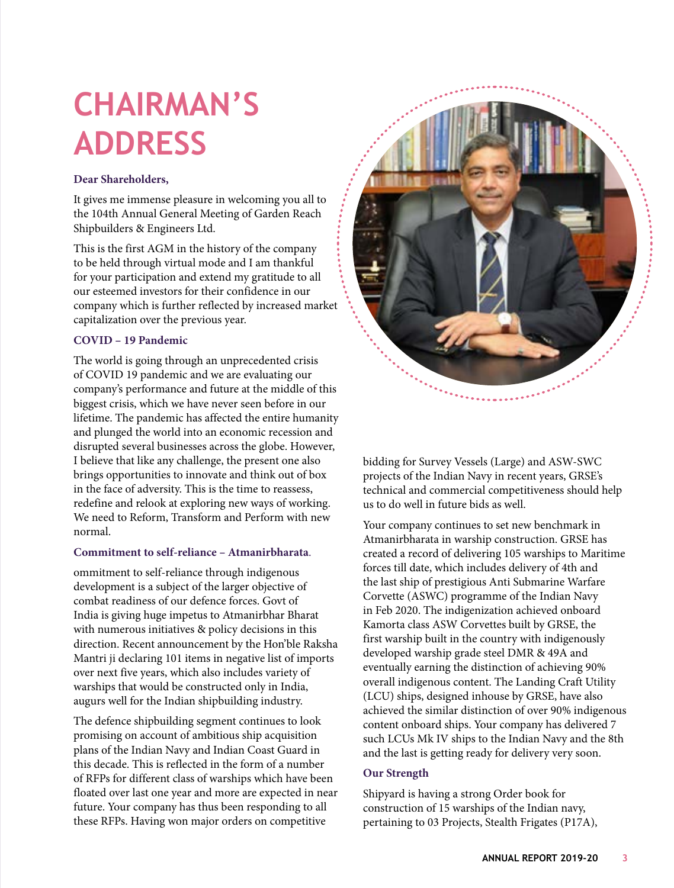# **CHAIRMAN'S ADDRESS**

# **Dear Shareholders,**

It gives me immense pleasure in welcoming you all to the 104th Annual General Meeting of Garden Reach Shipbuilders & Engineers Ltd.

This is the first AGM in the history of the company to be held through virtual mode and I am thankful for your participation and extend my gratitude to all our esteemed investors for their confidence in our company which is further reflected by increased market capitalization over the previous year.

# **COVID – 19 Pandemic**

The world is going through an unprecedented crisis of COVID 19 pandemic and we are evaluating our company's performance and future at the middle of this biggest crisis, which we have never seen before in our lifetime. The pandemic has affected the entire humanity and plunged the world into an economic recession and disrupted several businesses across the globe. However, I believe that like any challenge, the present one also brings opportunities to innovate and think out of box in the face of adversity. This is the time to reassess, redefine and relook at exploring new ways of working. We need to Reform, Transform and Perform with new normal.

## **Commitment to self-reliance – Atmanirbharata**.

ommitment to self-reliance through indigenous development is a subject of the larger objective of combat readiness of our defence forces. Govt of India is giving huge impetus to Atmanirbhar Bharat with numerous initiatives & policy decisions in this direction. Recent announcement by the Hon'ble Raksha Mantri ji declaring 101 items in negative list of imports over next five years, which also includes variety of warships that would be constructed only in India, augurs well for the Indian shipbuilding industry.

The defence shipbuilding segment continues to look promising on account of ambitious ship acquisition plans of the Indian Navy and Indian Coast Guard in this decade. This is reflected in the form of a number of RFPs for different class of warships which have been floated over last one year and more are expected in near future. Your company has thus been responding to all these RFPs. Having won major orders on competitive



bidding for Survey Vessels (Large) and ASW-SWC projects of the Indian Navy in recent years, GRSE's technical and commercial competitiveness should help us to do well in future bids as well.

Your company continues to set new benchmark in Atmanirbharata in warship construction. GRSE has created a record of delivering 105 warships to Maritime forces till date, which includes delivery of 4th and the last ship of prestigious Anti Submarine Warfare Corvette (ASWC) programme of the Indian Navy in Feb 2020. The indigenization achieved onboard Kamorta class ASW Corvettes built by GRSE, the first warship built in the country with indigenously developed warship grade steel DMR & 49A and eventually earning the distinction of achieving 90% overall indigenous content. The Landing Craft Utility (LCU) ships, designed inhouse by GRSE, have also achieved the similar distinction of over 90% indigenous content onboard ships. Your company has delivered 7 such LCUs Mk IV ships to the Indian Navy and the 8th and the last is getting ready for delivery very soon.

## **Our Strength**

Shipyard is having a strong Order book for construction of 15 warships of the Indian navy, pertaining to 03 Projects, Stealth Frigates (P17A),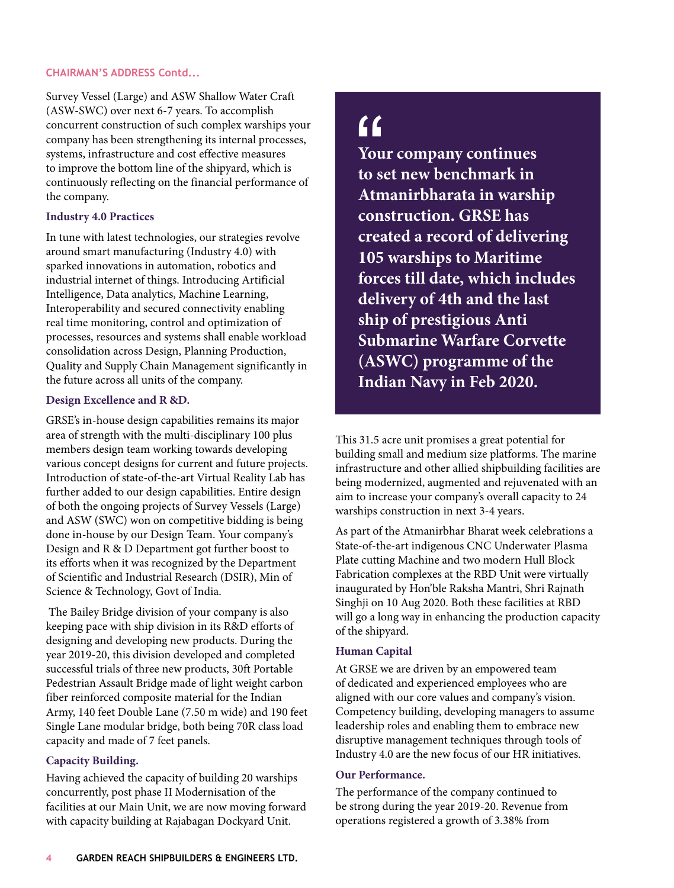### **CHAIRMAN'S ADDRESS Contd...**

Survey Vessel (Large) and ASW Shallow Water Craft (ASW-SWC) over next 6-7 years. To accomplish concurrent construction of such complex warships your company has been strengthening its internal processes, systems, infrastructure and cost effective measures to improve the bottom line of the shipyard, which is continuously reflecting on the financial performance of the company.

### **Industry 4.0 Practices**

In tune with latest technologies, our strategies revolve around smart manufacturing (Industry 4.0) with sparked innovations in automation, robotics and industrial internet of things. Introducing Artificial Intelligence, Data analytics, Machine Learning, Interoperability and secured connectivity enabling real time monitoring, control and optimization of processes, resources and systems shall enable workload consolidation across Design, Planning Production, Quality and Supply Chain Management significantly in the future across all units of the company.

### **Design Excellence and R &D.**

GRSE's in-house design capabilities remains its major area of strength with the multi-disciplinary 100 plus members design team working towards developing various concept designs for current and future projects. Introduction of state-of-the-art Virtual Reality Lab has further added to our design capabilities. Entire design of both the ongoing projects of Survey Vessels (Large) and ASW (SWC) won on competitive bidding is being done in-house by our Design Team. Your company's Design and R & D Department got further boost to its efforts when it was recognized by the Department of Scientific and Industrial Research (DSIR), Min of Science & Technology, Govt of India.

 The Bailey Bridge division of your company is also keeping pace with ship division in its R&D efforts of designing and developing new products. During the year 2019-20, this division developed and completed successful trials of three new products, 30ft Portable Pedestrian Assault Bridge made of light weight carbon fiber reinforced composite material for the Indian Army, 140 feet Double Lane (7.50 m wide) and 190 feet Single Lane modular bridge, both being 70R class load capacity and made of 7 feet panels.

# **Capacity Building.**

Having achieved the capacity of building 20 warships concurrently, post phase II Modernisation of the facilities at our Main Unit, we are now moving forward with capacity building at Rajabagan Dockyard Unit.

# $f$

**Your company continues to set new benchmark in Atmanirbharata in warship construction. GRSE has created a record of delivering 105 warships to Maritime forces till date, which includes delivery of 4th and the last ship of prestigious Anti Submarine Warfare Corvette (ASWC) programme of the Indian Navy in Feb 2020.**

This 31.5 acre unit promises a great potential for building small and medium size platforms. The marine infrastructure and other allied shipbuilding facilities are being modernized, augmented and rejuvenated with an aim to increase your company's overall capacity to 24 warships construction in next 3-4 years.

As part of the Atmanirbhar Bharat week celebrations a State-of-the-art indigenous CNC Underwater Plasma Plate cutting Machine and two modern Hull Block Fabrication complexes at the RBD Unit were virtually inaugurated by Hon'ble Raksha Mantri, Shri Rajnath Singhji on 10 Aug 2020. Both these facilities at RBD will go a long way in enhancing the production capacity of the shipyard.

### **Human Capital**

At GRSE we are driven by an empowered team of dedicated and experienced employees who are aligned with our core values and company's vision. Competency building, developing managers to assume leadership roles and enabling them to embrace new disruptive management techniques through tools of Industry 4.0 are the new focus of our HR initiatives.

#### **Our Performance.**

The performance of the company continued to be strong during the year 2019-20. Revenue from operations registered a growth of 3.38% from